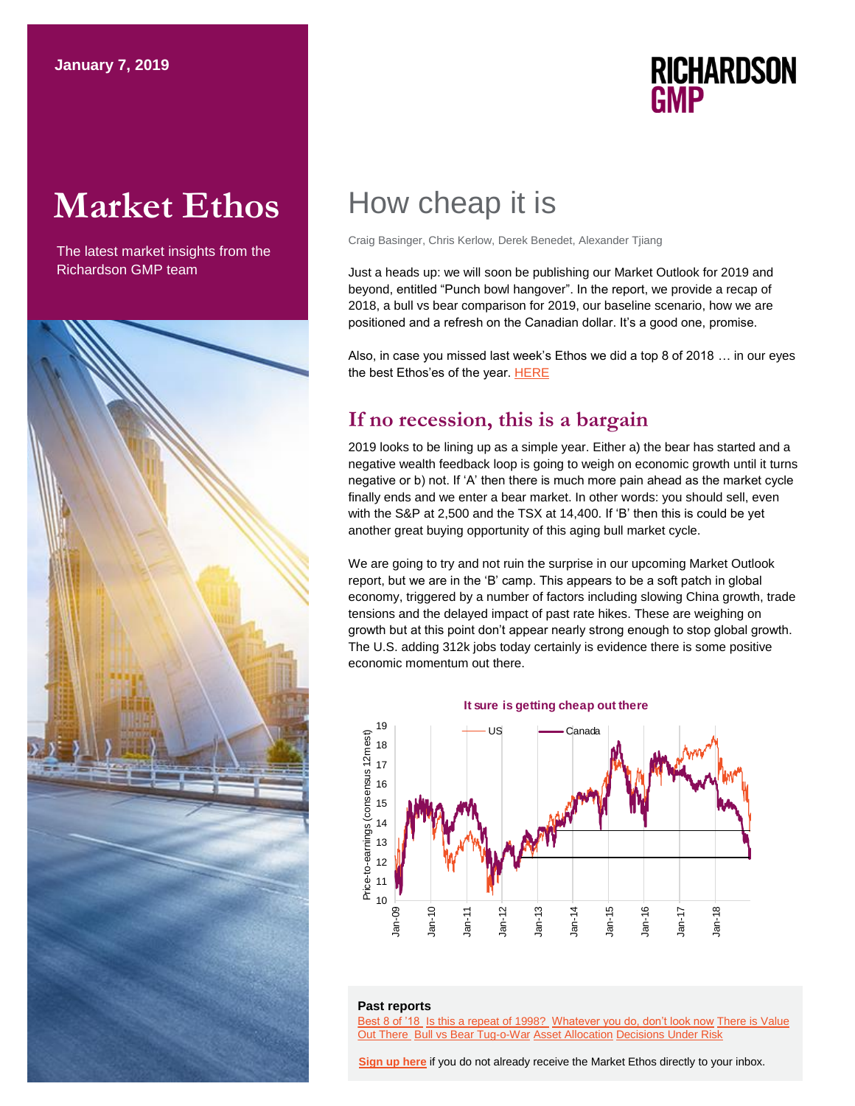# **Market Ethos**

The latest market insights from the Richardson GMP team



## **RICHARDSON GMP**

## How cheap it is

Craig Basinger, Chris Kerlow, Derek Benedet, Alexander Tjiang

Just a heads up: we will soon be publishing our Market Outlook for 2019 and beyond, entitled "Punch bowl hangover". In the report, we provide a recap of 2018, a bull vs bear comparison for 2019, our baseline scenario, how we are positioned and a refresh on the Canadian dollar. It's a good one, promise.

Also, in case you missed last week's Ethos we did a top 8 of 2018 … in our eyes the best Ethos'es of the year[. HERE](https://www.richardsongmp.com/docs/default-source/market-ethos/market-ethos---top-8-ethos-of-18---31-dec-2018.pdf)

## **If no recession, this is a bargain**

2019 looks to be lining up as a simple year. Either a) the bear has started and a negative wealth feedback loop is going to weigh on economic growth until it turns negative or b) not. If 'A' then there is much more pain ahead as the market cycle finally ends and we enter a bear market. In other words: you should sell, even with the S&P at 2,500 and the TSX at 14,400. If 'B' then this is could be yet another great buying opportunity of this aging bull market cycle.

We are going to try and not ruin the surprise in our upcoming Market Outlook report, but we are in the 'B' camp. This appears to be a soft patch in global economy, triggered by a number of factors including slowing China growth, trade tensions and the delayed impact of past rate hikes. These are weighing on growth but at this point don't appear nearly strong enough to stop global growth. The U.S. adding 312k jobs today certainly is evidence there is some positive economic momentum out there.

### **It sure is getting cheap out there**



### **Past reports**

[Best 8 of '18](https://www.richardsongmp.com/docs/default-source/market-ethos/market-ethos---top-8-ethos-of-18---31-dec-2018.pdf) [Is this a repeat of 1998?](https://www.richardsongmp.com/docs/default-source/market-ethos/market-ethos---is-this-a-repeat-of-1998---17-dec-2018.pdf) [Whatever you do, don't look now](https://www.richardsongmp.com/docs/default-source/market-ethos/market-ethos---whatever-you-do-don) [There is Value](https://www.richardsongmp.com/docs/default-source/market-ethos/market-ethos---there-is-value-out-there---26-nov-2018.pdf)  [Out There](https://www.richardsongmp.com/docs/default-source/market-ethos/market-ethos---there-is-value-out-there---26-nov-2018.pdf) [Bull vs Bear Tug-o-War](https://www.richardsongmp.com/docs/default-source/market-ethos/market-ethos-bull-v-bear-tugowar-19_nov_2018.pdf) [Asset Allocation](https://www.richardsongmp.com/docs/default-source/market-ethos/market-ethos---asset-allocation-just-aint-what-it-used-to-be---5-nov-2018.pdf) [Decisions Under Risk](https://www.richardsongmp.com/docs/default-source/market-ethos/market-ethos---decisions-under-risk---12-nov-2018.pdf)

**[Sign up here](https://surveys.campaignbreeze.com/s/9772617f4a874bcad89db07d66bb905669984b44)** if you do not already receive the Market Ethos directly to your inbox.